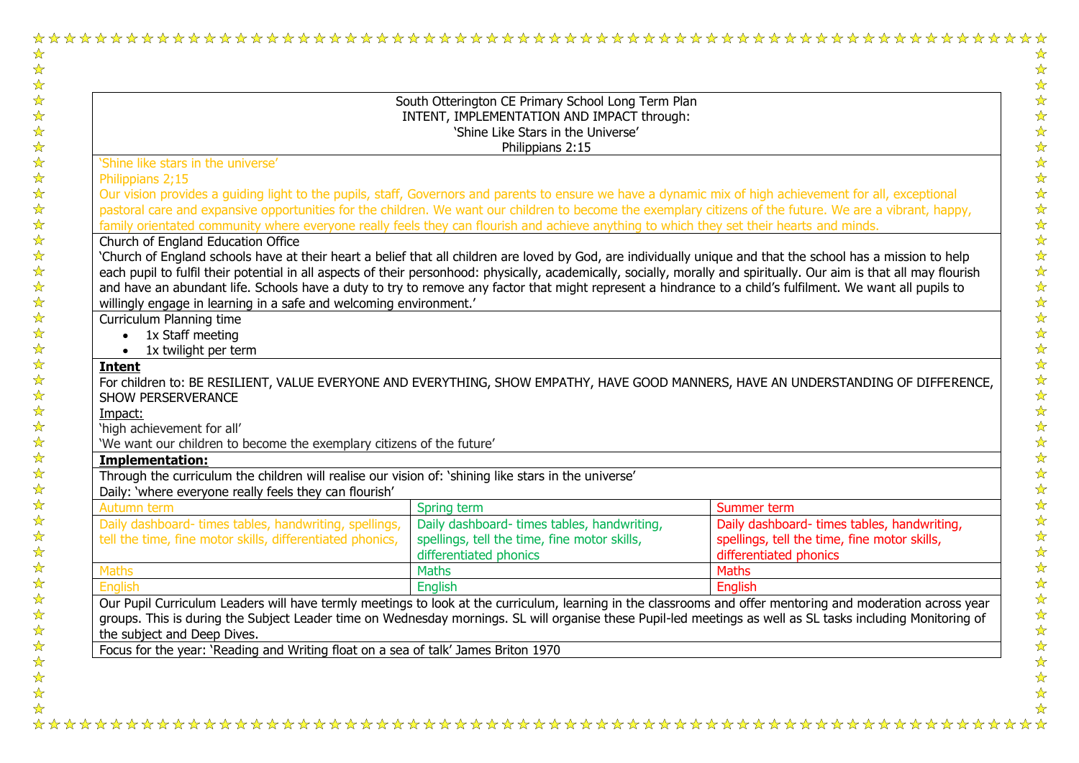| South Otterington CE Primary School Long Term Plan<br>INTENT, IMPLEMENTATION AND IMPACT through:<br>'Shine Like Stars in the Universe'                                                                                                                                                                                     |                                              |                                              |  |  |  |
|----------------------------------------------------------------------------------------------------------------------------------------------------------------------------------------------------------------------------------------------------------------------------------------------------------------------------|----------------------------------------------|----------------------------------------------|--|--|--|
|                                                                                                                                                                                                                                                                                                                            |                                              |                                              |  |  |  |
| 'Shine like stars in the universe'                                                                                                                                                                                                                                                                                         |                                              |                                              |  |  |  |
| Philippians 2;15                                                                                                                                                                                                                                                                                                           |                                              |                                              |  |  |  |
| Our vision provides a guiding light to the pupils, staff, Governors and parents to ensure we have a dynamic mix of high achievement for all, exceptional                                                                                                                                                                   |                                              |                                              |  |  |  |
| pastoral care and expansive opportunities for the children. We want our children to become the exemplary citizens of the future. We are a vibrant, happy,                                                                                                                                                                  |                                              |                                              |  |  |  |
| family orientated community where everyone really feels they can flourish and achieve anything to which they set their hearts and minds.                                                                                                                                                                                   |                                              |                                              |  |  |  |
| Church of England Education Office                                                                                                                                                                                                                                                                                         |                                              |                                              |  |  |  |
| 'Church of England schools have at their heart a belief that all children are loved by God, are individually unique and that the school has a mission to help                                                                                                                                                              |                                              |                                              |  |  |  |
| each pupil to fulfil their potential in all aspects of their personhood: physically, academically, socially, morally and spiritually. Our aim is that all may flourish                                                                                                                                                     |                                              |                                              |  |  |  |
| and have an abundant life. Schools have a duty to try to remove any factor that might represent a hindrance to a child's fulfilment. We want all pupils to                                                                                                                                                                 |                                              |                                              |  |  |  |
|                                                                                                                                                                                                                                                                                                                            |                                              |                                              |  |  |  |
| willingly engage in learning in a safe and welcoming environment.'                                                                                                                                                                                                                                                         |                                              |                                              |  |  |  |
| Curriculum Planning time                                                                                                                                                                                                                                                                                                   |                                              |                                              |  |  |  |
| $\bullet$ 1x Staff meeting                                                                                                                                                                                                                                                                                                 |                                              |                                              |  |  |  |
| • 1x twilight per term                                                                                                                                                                                                                                                                                                     |                                              |                                              |  |  |  |
| <b>Intent</b>                                                                                                                                                                                                                                                                                                              |                                              |                                              |  |  |  |
| For children to: BE RESILIENT, VALUE EVERYONE AND EVERYTHING, SHOW EMPATHY, HAVE GOOD MANNERS, HAVE AN UNDERSTANDING OF DIFFERENCE,                                                                                                                                                                                        |                                              |                                              |  |  |  |
| <b>SHOW PERSERVERANCE</b>                                                                                                                                                                                                                                                                                                  |                                              |                                              |  |  |  |
| Impact:                                                                                                                                                                                                                                                                                                                    |                                              |                                              |  |  |  |
| 'high achievement for all'<br>'We want our children to become the exemplary citizens of the future'                                                                                                                                                                                                                        |                                              |                                              |  |  |  |
| <b>Implementation:</b>                                                                                                                                                                                                                                                                                                     |                                              |                                              |  |  |  |
| Through the curriculum the children will realise our vision of: 'shining like stars in the universe'                                                                                                                                                                                                                       |                                              |                                              |  |  |  |
| Daily: 'where everyone really feels they can flourish'                                                                                                                                                                                                                                                                     |                                              |                                              |  |  |  |
| Autumn term                                                                                                                                                                                                                                                                                                                | Spring term                                  | Summer term                                  |  |  |  |
| Daily dashboard- times tables, handwriting, spellings,                                                                                                                                                                                                                                                                     | Daily dashboard- times tables, handwriting,  | Daily dashboard-times tables, handwriting,   |  |  |  |
| tell the time, fine motor skills, differentiated phonics,                                                                                                                                                                                                                                                                  | spellings, tell the time, fine motor skills, | spellings, tell the time, fine motor skills, |  |  |  |
|                                                                                                                                                                                                                                                                                                                            | differentiated phonics                       | differentiated phonics                       |  |  |  |
| <b>Maths</b>                                                                                                                                                                                                                                                                                                               | <b>Maths</b>                                 | <b>Maths</b>                                 |  |  |  |
| <b>English</b>                                                                                                                                                                                                                                                                                                             | English                                      | English                                      |  |  |  |
| Our Pupil Curriculum Leaders will have termly meetings to look at the curriculum, learning in the classrooms and offer mentoring and moderation across year<br>groups. This is during the Subject Leader time on Wednesday mornings. SL will organise these Pupil-led meetings as well as SL tasks including Monitoring of |                                              |                                              |  |  |  |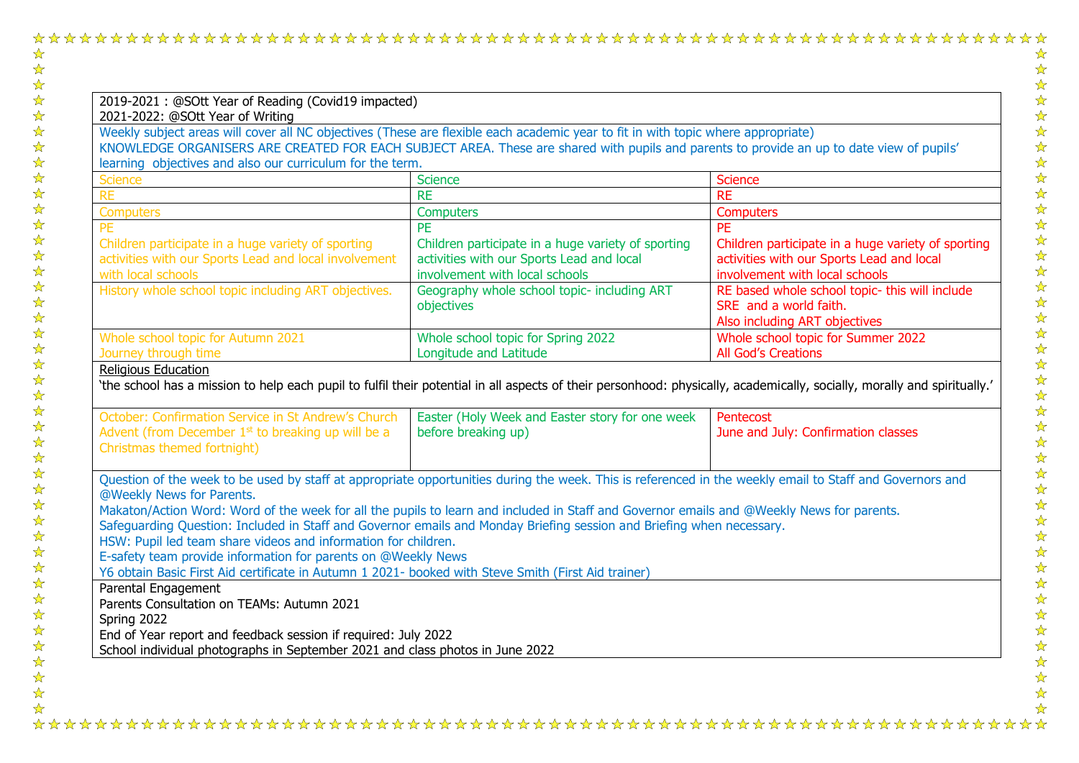|--|--|--|

| 2019-2021: @SOtt Year of Reading (Covid19 impacted)                                                                                                                                     |                                                                                                                                   |                                                                                                                                   |
|-----------------------------------------------------------------------------------------------------------------------------------------------------------------------------------------|-----------------------------------------------------------------------------------------------------------------------------------|-----------------------------------------------------------------------------------------------------------------------------------|
| 2021-2022: @SOtt Year of Writing<br>Weekly subject areas will cover all NC objectives (These are flexible each academic year to fit in with topic where appropriate)                    |                                                                                                                                   |                                                                                                                                   |
| KNOWLEDGE ORGANISERS ARE CREATED FOR EACH SUBJECT AREA. These are shared with pupils and parents to provide an up to date view of pupils'                                               |                                                                                                                                   |                                                                                                                                   |
| learning objectives and also our curriculum for the term.                                                                                                                               |                                                                                                                                   |                                                                                                                                   |
| <b>Science</b>                                                                                                                                                                          | <b>Science</b>                                                                                                                    | <b>Science</b>                                                                                                                    |
| <b>RE</b>                                                                                                                                                                               | <b>RE</b>                                                                                                                         | <b>RE</b>                                                                                                                         |
| <b>Computers</b>                                                                                                                                                                        | <b>Computers</b>                                                                                                                  | <b>Computers</b>                                                                                                                  |
| <b>PE</b>                                                                                                                                                                               | <b>PE</b>                                                                                                                         | <b>PE</b>                                                                                                                         |
| Children participate in a huge variety of sporting<br>activities with our Sports Lead and local involvement<br>with local schools                                                       | Children participate in a huge variety of sporting<br>activities with our Sports Lead and local<br>involvement with local schools | Children participate in a huge variety of sporting<br>activities with our Sports Lead and local<br>involvement with local schools |
| History whole school topic including ART objectives.                                                                                                                                    | Geography whole school topic- including ART<br>objectives                                                                         | RE based whole school topic- this will include<br>SRE and a world faith.                                                          |
|                                                                                                                                                                                         |                                                                                                                                   | Also including ART objectives                                                                                                     |
| Whole school topic for Autumn 2021<br>Journey through time                                                                                                                              | Whole school topic for Spring 2022<br>Longitude and Latitude                                                                      | Whole school topic for Summer 2022<br><b>All God's Creations</b>                                                                  |
| October: Confirmation Service in St Andrew's Church<br>Advent (from December $1st$ to breaking up will be a<br>Christmas themed fortnight)                                              | Easter (Holy Week and Easter story for one week<br>before breaking up)                                                            | Pentecost<br>June and July: Confirmation classes                                                                                  |
| Question of the week to be used by staff at appropriate opportunities during the week. This is referenced in the weekly email to Staff and Governors and<br>@Weekly News for Parents.   |                                                                                                                                   |                                                                                                                                   |
| Makaton/Action Word: Word of the week for all the pupils to learn and included in Staff and Governor emails and @Weekly News for parents.                                               |                                                                                                                                   |                                                                                                                                   |
| Safeguarding Question: Included in Staff and Governor emails and Monday Briefing session and Briefing when necessary.<br>HSW: Pupil led team share videos and information for children. |                                                                                                                                   |                                                                                                                                   |
| E-safety team provide information for parents on @Weekly News                                                                                                                           |                                                                                                                                   |                                                                                                                                   |
| Y6 obtain Basic First Aid certificate in Autumn 1 2021- booked with Steve Smith (First Aid trainer)                                                                                     |                                                                                                                                   |                                                                                                                                   |
| Parental Engagement<br>Parents Consultation on TEAMs: Autumn 2021                                                                                                                       |                                                                                                                                   |                                                                                                                                   |
|                                                                                                                                                                                         |                                                                                                                                   |                                                                                                                                   |
| Spring 2022                                                                                                                                                                             |                                                                                                                                   |                                                                                                                                   |
| End of Year report and feedback session if required: July 2022<br>School individual photographs in September 2021 and class photos in June 2022                                         |                                                                                                                                   |                                                                                                                                   |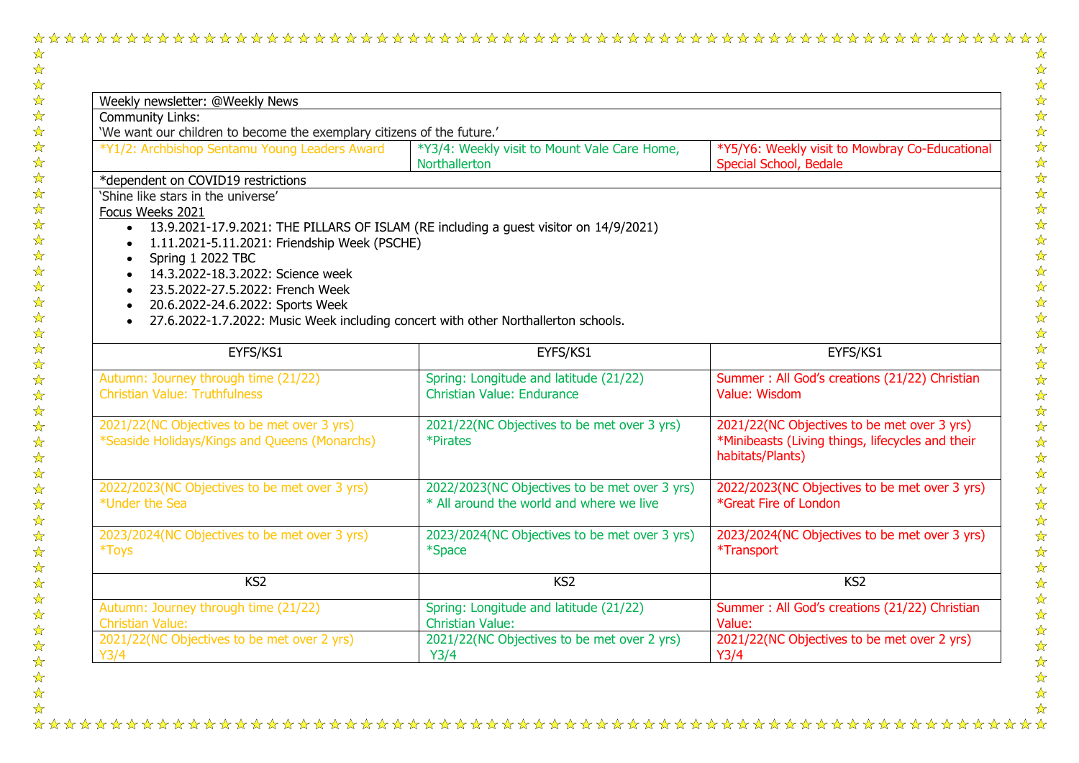## 

 $\frac{1}{\sqrt{2}}$ 公众公众公众公众公众 ☆☆☆☆☆☆☆☆☆☆☆☆☆☆☆☆☆☆☆☆☆☆☆☆☆☆☆☆☆☆☆  $\frac{1}{\sqrt{2}}$ 

| Weekly newsletter: @Weekly News                                                                                           |                                                                                           |                                                                                                                   |  |  |  |
|---------------------------------------------------------------------------------------------------------------------------|-------------------------------------------------------------------------------------------|-------------------------------------------------------------------------------------------------------------------|--|--|--|
| <b>Community Links:</b>                                                                                                   |                                                                                           |                                                                                                                   |  |  |  |
| 'We want our children to become the exemplary citizens of the future.'                                                    |                                                                                           |                                                                                                                   |  |  |  |
| *Y1/2: Archbishop Sentamu Young Leaders Award                                                                             | *Y3/4: Weekly visit to Mount Vale Care Home,<br><b>Northallerton</b>                      | *Y5/Y6: Weekly visit to Mowbray Co-Educational<br>Special School, Bedale                                          |  |  |  |
| *dependent on COVID19 restrictions                                                                                        |                                                                                           |                                                                                                                   |  |  |  |
| 'Shine like stars in the universe'                                                                                        |                                                                                           |                                                                                                                   |  |  |  |
| Focus Weeks 2021                                                                                                          |                                                                                           |                                                                                                                   |  |  |  |
| 13.9.2021-17.9.2021: THE PILLARS OF ISLAM (RE including a guest visitor on 14/9/2021)                                     |                                                                                           |                                                                                                                   |  |  |  |
| 1.11.2021-5.11.2021: Friendship Week (PSCHE)                                                                              |                                                                                           |                                                                                                                   |  |  |  |
| Spring 1 2022 TBC                                                                                                         |                                                                                           |                                                                                                                   |  |  |  |
| 14.3.2022-18.3.2022: Science week                                                                                         |                                                                                           |                                                                                                                   |  |  |  |
| 23.5.2022-27.5.2022: French Week                                                                                          |                                                                                           |                                                                                                                   |  |  |  |
| 20.6.2022-24.6.2022: Sports Week<br>27.6.2022-1.7.2022: Music Week including concert with other Northallerton schools.    |                                                                                           |                                                                                                                   |  |  |  |
|                                                                                                                           |                                                                                           |                                                                                                                   |  |  |  |
| EYFS/KS1                                                                                                                  | EYFS/KS1                                                                                  | EYFS/KS1                                                                                                          |  |  |  |
| Autumn: Journey through time (21/22)                                                                                      | Spring: Longitude and latitude (21/22)                                                    | Summer: All God's creations (21/22) Christian                                                                     |  |  |  |
| <b>Christian Value: Truthfulness</b>                                                                                      | <b>Christian Value: Endurance</b>                                                         | Value: Wisdom                                                                                                     |  |  |  |
| 2021/22(NC Objectives to be met over 3 yrs)                                                                               | 2021/22(NC Objectives to be met over 3 yrs)                                               | 2021/22(NC Objectives to be met over 3 yrs)                                                                       |  |  |  |
| *Seaside Holidays/Kings and Queens (Monarchs)                                                                             | *Pirates                                                                                  | *Minibeasts (Living things, lifecycles and their<br>habitats/Plants)                                              |  |  |  |
|                                                                                                                           |                                                                                           |                                                                                                                   |  |  |  |
|                                                                                                                           |                                                                                           |                                                                                                                   |  |  |  |
|                                                                                                                           | 2022/2023(NC Objectives to be met over 3 yrs)<br>* All around the world and where we live | *Great Fire of London                                                                                             |  |  |  |
|                                                                                                                           | 2023/2024(NC Objectives to be met over 3 yrs)                                             |                                                                                                                   |  |  |  |
| 2022/2023(NC Objectives to be met over 3 yrs)<br>*Under the Sea<br>2023/2024(NC Objectives to be met over 3 yrs)<br>*Toys | *Space                                                                                    | *Transport                                                                                                        |  |  |  |
| KS <sub>2</sub>                                                                                                           | KS <sub>2</sub>                                                                           | 2022/2023(NC Objectives to be met over 3 yrs)<br>2023/2024(NC Objectives to be met over 3 yrs)<br>KS <sub>2</sub> |  |  |  |
| Autumn: Journey through time (21/22)<br><b>Christian Value:</b>                                                           | Spring: Longitude and latitude (21/22)<br><b>Christian Value:</b>                         | Summer: All God's creations (21/22) Christian<br>Value:                                                           |  |  |  |

 $\frac{1}{\mathcal{N}}$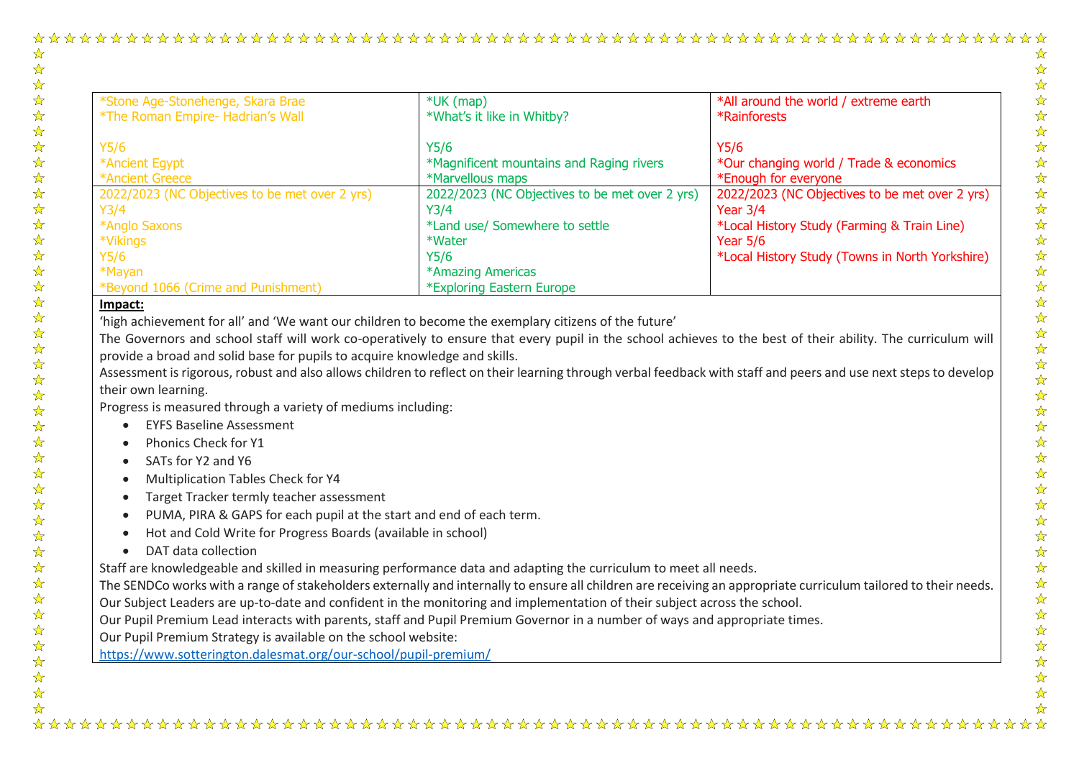## 

| *Stone Age-Stonehenge, Skara Brae              | $*$ UK (map)                                   | *All around the world / extreme earth           |
|------------------------------------------------|------------------------------------------------|-------------------------------------------------|
| *The Roman Empire- Hadrian's Wall              | *What's it like in Whitby?                     | *Rainforests                                    |
| Y5/6                                           | Y5/6                                           | Y5/6                                            |
| *Ancient Egypt                                 | *Magnificent mountains and Raging rivers       | *Our changing world / Trade & economics         |
| *Ancient Greece                                | *Marvellous maps                               | *Enough for everyone                            |
| 2022/2023 (NC Objectives to be met over 2 yrs) | 2022/2023 (NC Objectives to be met over 2 yrs) | 2022/2023 (NC Objectives to be met over 2 yrs)  |
| Y3/4                                           | Y3/4                                           | Year $3/4$                                      |
| *Anglo Saxons                                  | *Land use/ Somewhere to settle                 | *Local History Study (Farming & Train Line)     |
| *Vikings                                       | *Water                                         | Year $5/6$                                      |
| Y5/6                                           | Y5/6                                           | *Local History Study (Towns in North Yorkshire) |
| *Mayan                                         | *Amazing Americas                              |                                                 |
| *Beyond 1066 (Crime and Punishment)            | *Exploring Eastern Europe                      |                                                 |

## **Impact:**

☆  $\frac{1}{\sqrt{2}}$ 

 $\frac{1}{\sqrt{2}}$ 

☆ ☆

琴琴琴

动动动动

计划

54 54

2万万万

 $\frac{1}{\sqrt{2}}$  $\frac{1}{\mathcal{N}}$ 54 54  $\frac{1}{\sqrt{2}}$ ☆  $\frac{1}{\sqrt{2}}$  $\frac{1}{\mathbf{2}}$  $\frac{1}{\sqrt{2}}$ ☆ ☆  $\frac{1}{\sqrt{2}}$  $\frac{1}{\sqrt{2}}$ 

☆☆☆☆☆☆☆☆☆

 $\frac{1}{\sqrt{2}}$ 

'high achievement for all' and 'We want our children to become the exemplary citizens of the future'

The Governors and school staff will work co-operatively to ensure that every pupil in the school achieves to the best of their ability. The curriculum will provide a broad and solid base for pupils to acquire knowledge and skills.

Assessment is rigorous, robust and also allows children to reflect on their learning through verbal feedback with staff and peers and use next steps to develop their own learning.

Progress is measured through a variety of mediums including:

- EYFS Baseline Assessment
- Phonics Check for Y1
- SATs for Y2 and Y6
- Multiplication Tables Check for Y4
- Target Tracker termly teacher assessment
- PUMA, PIRA & GAPS for each pupil at the start and end of each term.
- Hot and Cold Write for Progress Boards (available in school)
- DAT data collection

Staff are knowledgeable and skilled in measuring performance data and adapting the curriculum to meet all needs.

The SENDCo works with a range of stakeholders externally and internally to ensure all children are receiving an appropriate curriculum tailored to their needs. Our Subject Leaders are up-to-date and confident in the monitoring and implementation of their subject across the school.

Our Pupil Premium Lead interacts with parents, staff and Pupil Premium Governor in a number of ways and appropriate times.

Our Pupil Premium Strategy is available on the school website:

<https://www.sotterington.dalesmat.org/our-school/pupil-premium/>